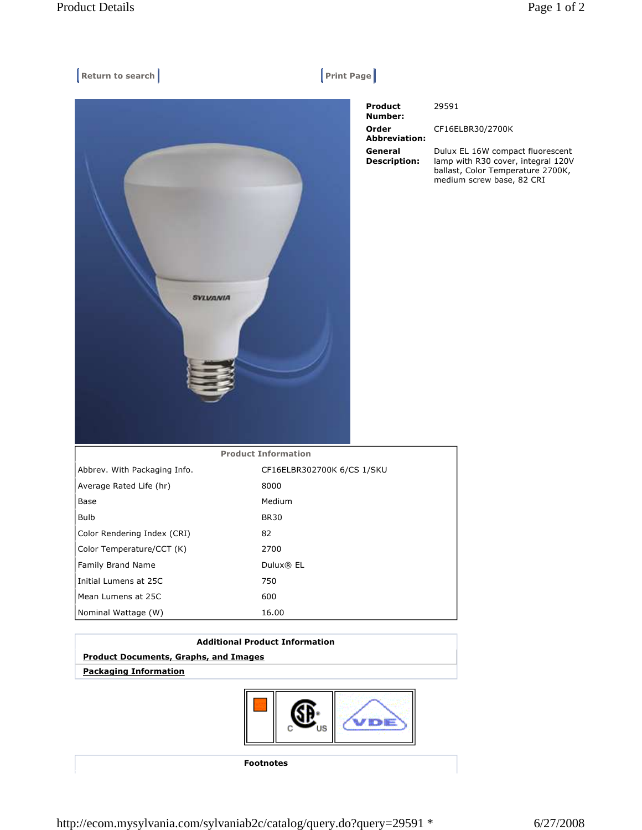| Return to search                | $ $ Print Page $ $                 |                                                                                                                                          |
|---------------------------------|------------------------------------|------------------------------------------------------------------------------------------------------------------------------------------|
|                                 | Product<br>Number:                 | 29591                                                                                                                                    |
|                                 | Order<br><b>Abbreviation:</b>      | CF16ELBR30/2700K                                                                                                                         |
| <b>SYLVANIA</b>                 | General<br><b>Description:</b>     | Dulux EL 16W compact fluorescent<br>lamp with R30 cover, integral 120V<br>ballast, Color Temperature 2700K,<br>medium screw base, 82 CRI |
|                                 | <b>Product Information</b>         |                                                                                                                                          |
| Abbrev. With Packaging Info.    | CF16ELBR302700K 6/CS 1/SKU<br>8000 |                                                                                                                                          |
| Average Rated Life (hr)<br>Base | Medium                             |                                                                                                                                          |
| <b>Bulb</b>                     | <b>BR30</b>                        |                                                                                                                                          |
| Color Rendering Index (CRI)     | 82                                 |                                                                                                                                          |
| Color Temperature/CCT (K)       | 2700                               |                                                                                                                                          |
| Family Brand Name               | Dulux® EL                          |                                                                                                                                          |
| Initial Lumens at 25C           | 750                                |                                                                                                                                          |
| Mean Lumens at 25C              | 600                                |                                                                                                                                          |
| Nominal Wattage (W)             | 16.00                              |                                                                                                                                          |
|                                 |                                    |                                                                                                                                          |

## **Additional Product Information**

## **Product Documents, Graphs, and Images**

 **Packaging Information**



**Footnotes**

http://ecom.mysylvania.com/sylvaniab2c/catalog/query.do?query=29591 \* 6/27/2008